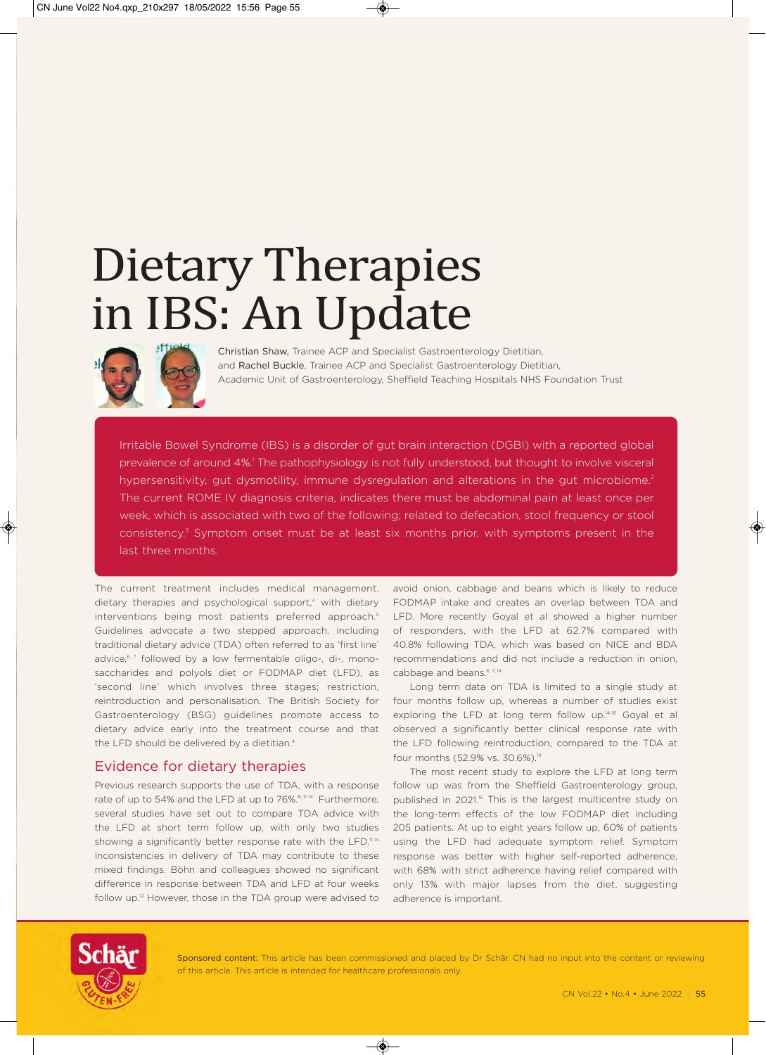# Dietary Therapies in IBS: An Update



Christian Shaw, Trainee ACP and Specialist Gastroenterology Dietitian, and Rachel Buckle, Trainee ACP and Specialist Gastroenterology Dietitian, Academic Unit of Gastroenterology, Sheffield Teaching Hospitals NHS Foundation Trust

Irritable Bowel Syndrome (IBS) is a disorder of gut brain interaction (DGBI) with a reported global prevalence of around 4%.<sup>1</sup> The pathophysiology is not fully understood, but thought to involve visceral hypersensitivity, gut dysmotility, immune dysregulation and alterations in the gut microbiome.<sup>2</sup> The current ROME IV diagnosis criteria, indicates there must be abdominal pain at least once per week, which is associated with two of the following; related to defecation, stool frequency or stool consistency.<sup>3</sup> Symptom onset must be at least six months prior, with symptoms present in the last three months.

The current treatment includes medical management, dietary therapies and psychological support,<sup>4</sup> with dietary interventions being most patients preferred approach.<sup>5</sup> Guidelines advocate a two stepped approach, including traditional dietary advice (TDA) often referred to as 'first line' advice,<sup>6, 7</sup> followed by a low fermentable oligo-, di-, monosaccharides and polyols diet or FODMAP diet (LFD), as 'second line' which involves three stages; restriction, reintroduction and personalisation. The British Society for Gastroenterology (BSG) guidelines promote access to dietary advice early into the treatment course and that the LFD should be delivered by a dietitian.<sup>4</sup>

#### Evidence for dietary therapies

Previous research supports the use of TDA, with a response rate of up to 54% and the LFD at up to 76%.<sup>8, 11-14</sup> Furthermore, several studies have set out to compare TDA advice with the LFD at short term follow up, with only two studies showing a significantly better response rate with the LFD.<sup>11-14</sup> Inconsistencies in delivery of TDA may contribute to these mixed findings. Böhn and colleagues showed no significant difference in response between TDA and LFD at four weeks follow up.<sup>12</sup> However, those in the TDA group were advised to avoid onion, cabbage and beans which is likely to reduce FODMAP intake and creates an overlap between TDA and LFD. More recently Goyal et al showed a higher number of responders, with the LFD at 62.7% compared with 40.8% following TDA, which was based on NICE and BDA recommendations and did not include a reduction in onion, cabbage and beans.<sup>6, 7, 14</sup>

Long term data on TDA is limited to a single study at four months follow up, whereas a number of studies exist exploring the LFD at long term follow up.<sup>14-16</sup> Goyal et al observed a significantly better clinical response rate with the LFD following reintroduction, compared to the TDA at four months (52.9% vs. 30.6%).14

The most recent study to explore the LFD at long term follow up was from the Sheffield Gastroenterology group, published in 2021.<sup>6</sup> This is the largest multicentre study on the long-term effects of the low FODMAP diet including 205 patients. At up to eight years follow up, 60% of patients using the LFD had adequate symptom relief. Symptom response was better with higher self-reported adherence, with 68% with strict adherence having relief compared with only 13% with major lapses from the diet, suggesting adherence is important.



Sponsored content: This article has been commissioned and placed by Dr Schär. CN had no input into the content or reviewing of this article. This article is intended for healthcare professionals only.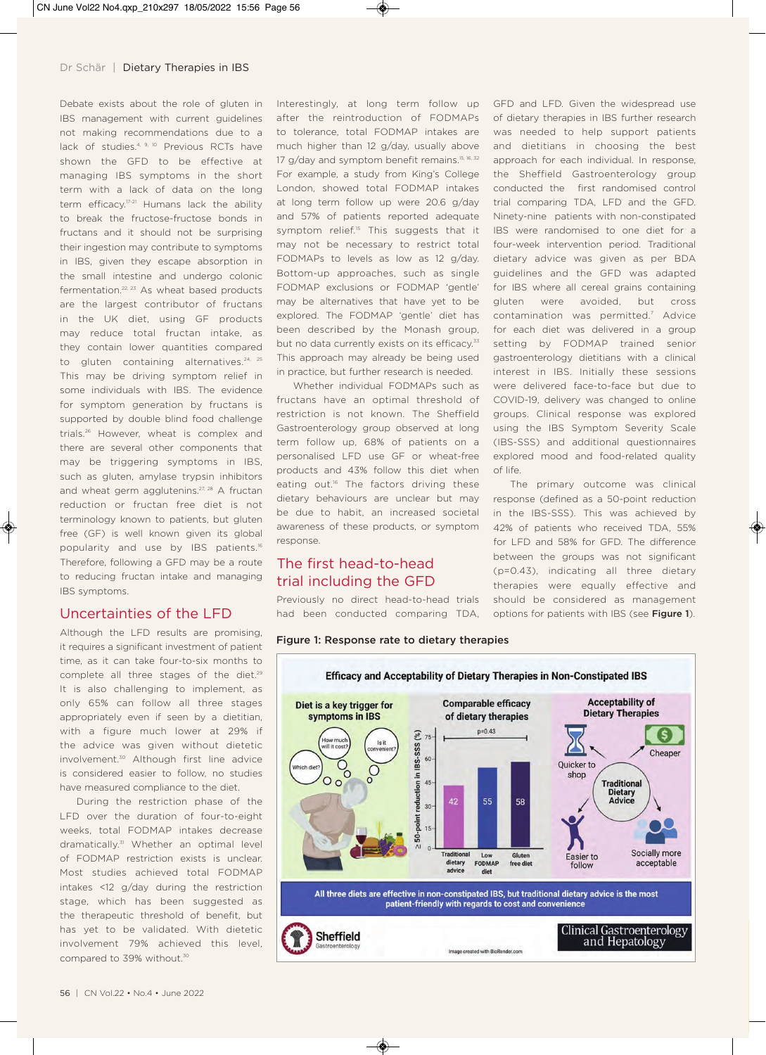Debate exists about the role of gluten in IBS management with current guidelines not making recommendations due to a lack of studies.<sup>4, 9, 10</sup> Previous RCTs have shown the GFD to be effective at managing IBS symptoms in the short term with a lack of data on the long term efficacy.<sup>17-21</sup> Humans lack the ability to break the fructose-fructose bonds in fructans and it should not be surprising their ingestion may contribute to symptoms in IBS, given they escape absorption in the small intestine and undergo colonic fermentation. $22, 23$  As wheat based products are the largest contributor of fructans in the UK diet, using GF products may reduce total fructan intake, as they contain lower quantities compared to gluten containing alternatives.<sup>24, 25</sup> This may be driving symptom relief in some individuals with IBS. The evidence for symptom generation by fructans is supported by double blind food challenge trials.<sup>26</sup> However, wheat is complex and there are several other components that may be triggering symptoms in IBS, such as gluten, amylase trypsin inhibitors and wheat germ agglutenins.<sup>27, 28</sup> A fructan reduction or fructan free diet is not terminology known to patients, but gluten free (GF) is well known given its global popularity and use by IBS patients.<sup>16</sup> Therefore, following a GFD may be a route to reducing fructan intake and managing IBS symptoms.

#### Uncertainties of the LFD

Although the LFD results are promising, it requires a significant investment of patient time, as it can take four-to-six months to complete all three stages of the diet.<sup>29</sup> It is also challenging to implement, as only 65% can follow all three stages appropriately even if seen by a dietitian, with a figure much lower at 29% if the advice was given without dietetic involvement.<sup>30</sup> Although first line advice is considered easier to follow, no studies have measured compliance to the diet.

During the restriction phase of the LFD over the duration of four-to-eight weeks, total FODMAP intakes decrease dramatically.<sup>31</sup> Whether an optimal level of FODMAP restriction exists is unclear. Most studies achieved total FODMAP intakes <12 g/day during the restriction stage, which has been suggested as the therapeutic threshold of benefit, but has yet to be validated. With dietetic involvement 79% achieved this level, compared to 39% without.<sup>30</sup>

Interestingly, at long term follow up after the reintroduction of FODMAPs to tolerance, total FODMAP intakes are much higher than 12 g/day, usually above 17 g/day and symptom benefit remains.<sup>15, 16, 32</sup> For example, a study from King's College London, showed total FODMAP intakes at long term follow up were 20.6 g/day and 57% of patients reported adequate symptom relief.<sup>15</sup> This suggests that it may not be necessary to restrict total FODMAPs to levels as low as 12 g/day. Bottom-up approaches, such as single FODMAP exclusions or FODMAP 'gentle' may be alternatives that have yet to be explored. The FODMAP 'gentle' diet has been described by the Monash group, but no data currently exists on its efficacy.<sup>33</sup> This approach may already be being used in practice, but further research is needed.

Whether individual FODMAPs such as fructans have an optimal threshold of restriction is not known. The Sheffield Gastroenterology group observed at long term follow up, 68% of patients on a personalised LFD use GF or wheat-free products and 43% follow this diet when eating out.<sup>16</sup> The factors driving these dietary behaviours are unclear but may be due to habit, an increased societal awareness of these products, or symptom response.

### The first head-to-head trial including the GFD

Previously no direct head-to-head trials had been conducted comparing TDA,

#### Figure 1: Response rate to dietary therapies

Efficacy and Acceptability of Dietary Therapies in Non-Constipated IBS **Acceptability of Comparable efficacy** Diet is a key trigger for **Dietary Therapies** of dietary therapies symptoms in IBS  $p=0.43$  $\left( \mathsf{s}\right)$  $(%)$  $75$ **IBS-SSS** Cheaper 60 Oo Quicker to  $\overline{C}$ reduction in shop  $\Omega$  $\circ$  $\overline{45}$ **Traditional** Dietary<br>Advice 55 58  $\overline{A}$  $30$ 50-point 15  $\Lambda$ Socially more **Traditional** Low Gluten **Fasier to** dietary FODMAP acceptable free diet follow advice diet All three diets are effective in non-constipated IBS, but traditional dietary advice is the most patient-friendly with regards to cost and convenience Clinical Gastroenterology **Sheffield** and Hepatology Image created with BioRender.com

GFD and LFD. Given the widespread use of dietary therapies in IBS further research was needed to help support patients and dietitians in choosing the best approach for each individual. In response, the Sheffield Gastroenterology group conducted the first randomised control trial comparing TDA, LFD and the GFD. Ninety-nine patients with non-constipated IBS were randomised to one diet for a four-week intervention period. Traditional dietary advice was given as per BDA guidelines and the GFD was adapted for IBS where all cereal grains containing gluten were avoided, but cross contamination was permitted.7 Advice for each diet was delivered in a group setting by FODMAP trained senior gastroenterology dietitians with a clinical interest in IBS. Initially these sessions were delivered face-to-face but due to COVID-19, delivery was changed to online groups. Clinical response was explored using the IBS Symptom Severity Scale (IBS-SSS) and additional questionnaires explored mood and food-related quality of life.

The primary outcome was clinical response (defined as a 50-point reduction in the IBS-SSS). This was achieved by 42% of patients who received TDA, 55% for LFD and 58% for GFD. The difference between the groups was not significant (p=0.43), indicating all three dietary therapies were equally effective and should be considered as management options for patients with IBS (see Figure 1).